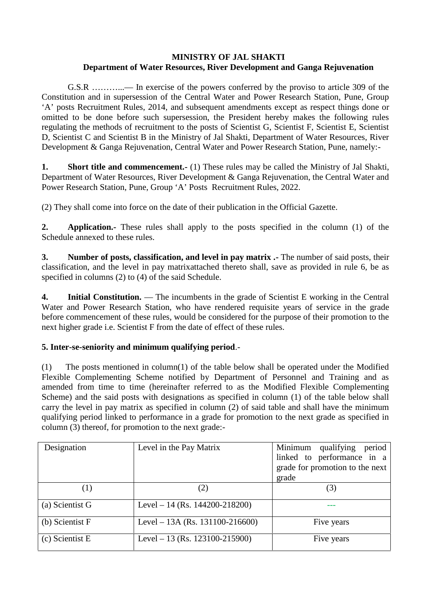## **MINISTRY OF JAL SHAKTI Department of Water Resources, River Development and Ganga Rejuvenation**

G.S.R ………...— In exercise of the powers conferred by the proviso to article 309 of the Constitution and in supersession of the Central Water and Power Research Station, Pune, Group 'A' posts Recruitment Rules, 2014, and subsequent amendments except as respect things done or omitted to be done before such supersession, the President hereby makes the following rules regulating the methods of recruitment to the posts of Scientist G, Scientist F, Scientist E, Scientist D, Scientist C and Scientist B in the Ministry of Jal Shakti, Department of Water Resources, River Development & Ganga Rejuvenation, Central Water and Power Research Station, Pune, namely:-

**1. Short title and commencement.** (1) These rules may be called the Ministry of Jal Shakti, Department of Water Resources, River Development & Ganga Rejuvenation, the Central Water and Power Research Station, Pune, Group 'A' Posts Recruitment Rules, 2022.

(2) They shall come into force on the date of their publication in the Official Gazette.

**2. Application.-** These rules shall apply to the posts specified in the column (1) of the Schedule annexed to these rules.

**3. Number of posts, classification, and level in pay matrix .-** The number of said posts, their classification, and the level in pay matrixattached thereto shall, save as provided in rule 6, be as specified in columns (2) to (4) of the said Schedule.

**4. Initial Constitution.** — The incumbents in the grade of Scientist E working in the Central Water and Power Research Station, who have rendered requisite years of service in the grade before commencement of these rules, would be considered for the purpose of their promotion to the next higher grade i.e. Scientist F from the date of effect of these rules.

## **5. Inter-se-seniority and minimum qualifying period**.-

(1) The posts mentioned in column(1) of the table below shall be operated under the Modified Flexible Complementing Scheme notified by Department of Personnel and Training and as amended from time to time (hereinafter referred to as the Modified Flexible Complementing Scheme) and the said posts with designations as specified in column (1) of the table below shall carry the level in pay matrix as specified in column (2) of said table and shall have the minimum qualifying period linked to performance in a grade for promotion to the next grade as specified in column (3) thereof, for promotion to the next grade:-

| Designation       | Level in the Pay Matrix         | Minimum<br>qualifying<br>period<br>linked to performance in a<br>grade for promotion to the next<br>grade |
|-------------------|---------------------------------|-----------------------------------------------------------------------------------------------------------|
| $\left( 1\right)$ | (2)                             | (3)                                                                                                       |
| (a) Scientist G   | Level – 14 (Rs. 144200-218200)  |                                                                                                           |
| (b) Scientist F   | Level – 13A (Rs. 131100-216600) | Five years                                                                                                |
| (c) Scientist E   | Level – 13 (Rs. 123100-215900)  | Five years                                                                                                |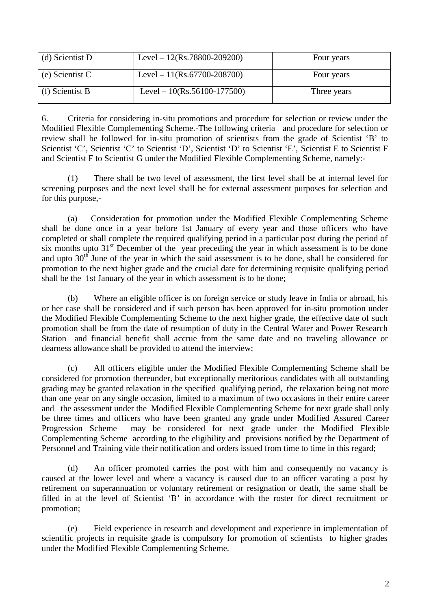| (d) Scientist D | Level – $12(Rs.78800-209200)$ | Four years  |
|-----------------|-------------------------------|-------------|
| (e) Scientist C | Level – $11(Rs.67700-208700)$ | Four years  |
| (f) Scientist B | Level – $10(Rs.56100-177500)$ | Three years |

6. Criteria for considering in-situ promotions and procedure for selection or review under the Modified Flexible Complementing Scheme.-The following criteria and procedure for selection or review shall be followed for in-situ promotion of scientists from the grade of Scientist 'B' to Scientist 'C', Scientist 'C' to Scientist 'D', Scientist 'D' to Scientist 'E', Scientist E to Scientist F and Scientist F to Scientist G under the Modified Flexible Complementing Scheme, namely:-

(1) There shall be two level of assessment, the first level shall be at internal level for screening purposes and the next level shall be for external assessment purposes for selection and for this purpose,-

(a) Consideration for promotion under the Modified Flexible Complementing Scheme shall be done once in a year before 1st January of every year and those officers who have completed or shall complete the required qualifying period in a particular post during the period of six months upto  $31<sup>st</sup>$  December of the year preceding the year in which assessment is to be done and upto  $30<sup>th</sup>$  June of the year in which the said assessment is to be done, shall be considered for promotion to the next higher grade and the crucial date for determining requisite qualifying period shall be the 1st January of the year in which assessment is to be done;

(b) Where an eligible officer is on foreign service or study leave in India or abroad, his or her case shall be considered and if such person has been approved for in-situ promotion under the Modified Flexible Complementing Scheme to the next higher grade, the effective date of such promotion shall be from the date of resumption of duty in the Central Water and Power Research Station and financial benefit shall accrue from the same date and no traveling allowance or dearness allowance shall be provided to attend the interview;

(c) All officers eligible under the Modified Flexible Complementing Scheme shall be considered for promotion thereunder, but exceptionally meritorious candidates with all outstanding grading may be granted relaxation in the specified qualifying period, the relaxation being not more than one year on any single occasion, limited to a maximum of two occasions in their entire career and the assessment under the Modified Flexible Complementing Scheme for next grade shall only be three times and officers who have been granted any grade under Modified Assured Career Progression Scheme may be considered for next grade under the Modified Flexible Complementing Scheme according to the eligibility and provisions notified by the Department of Personnel and Training vide their notification and orders issued from time to time in this regard;

(d) An officer promoted carries the post with him and consequently no vacancy is caused at the lower level and where a vacancy is caused due to an officer vacating a post by retirement on superannuation or voluntary retirement or resignation or death, the same shall be filled in at the level of Scientist 'B' in accordance with the roster for direct recruitment or promotion;

(e) Field experience in research and development and experience in implementation of scientific projects in requisite grade is compulsory for promotion of scientists to higher grades under the Modified Flexible Complementing Scheme.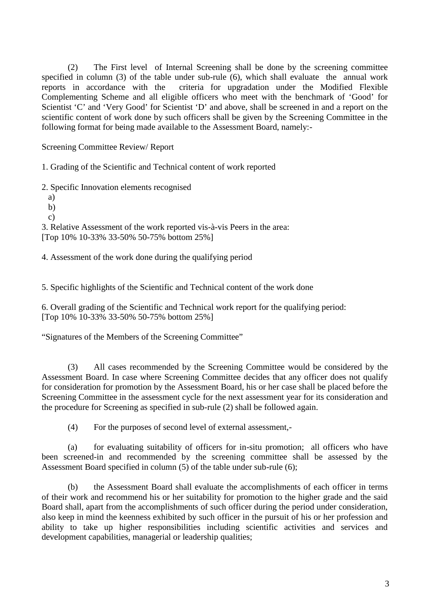(2) The First level of Internal Screening shall be done by the screening committee specified in column (3) of the table under sub-rule (6), which shall evaluate the annual work reports in accordance with the criteria for upgradation under the Modified Flexible Complementing Scheme and all eligible officers who meet with the benchmark of 'Good' for Scientist 'C' and 'Very Good' for Scientist 'D' and above, shall be screened in and a report on the scientific content of work done by such officers shall be given by the Screening Committee in the following format for being made available to the Assessment Board, namely:-

Screening Committee Review/ Report

1. Grading of the Scientific and Technical content of work reported

2. Specific Innovation elements recognised

a)

b)

c)

3. Relative Assessment of the work reported vis-à-vis Peers in the area: [Top 10% 10-33% 33-50% 50-75% bottom 25%]

4. Assessment of the work done during the qualifying period

5. Specific highlights of the Scientific and Technical content of the work done

6. Overall grading of the Scientific and Technical work report for the qualifying period: [Top 10% 10-33% 33-50% 50-75% bottom 25%]

"Signatures of the Members of the Screening Committee"

(3) All cases recommended by the Screening Committee would be considered by the Assessment Board. In case where Screening Committee decides that any officer does not qualify for consideration for promotion by the Assessment Board, his or her case shall be placed before the Screening Committee in the assessment cycle for the next assessment year for its consideration and the procedure for Screening as specified in sub-rule (2) shall be followed again.

(4) For the purposes of second level of external assessment,-

(a) for evaluating suitability of officers for in-situ promotion; all officers who have been screened-in and recommended by the screening committee shall be assessed by the Assessment Board specified in column (5) of the table under sub-rule (6);

(b) the Assessment Board shall evaluate the accomplishments of each officer in terms of their work and recommend his or her suitability for promotion to the higher grade and the said Board shall, apart from the accomplishments of such officer during the period under consideration, also keep in mind the keenness exhibited by such officer in the pursuit of his or her profession and ability to take up higher responsibilities including scientific activities and services and development capabilities, managerial or leadership qualities;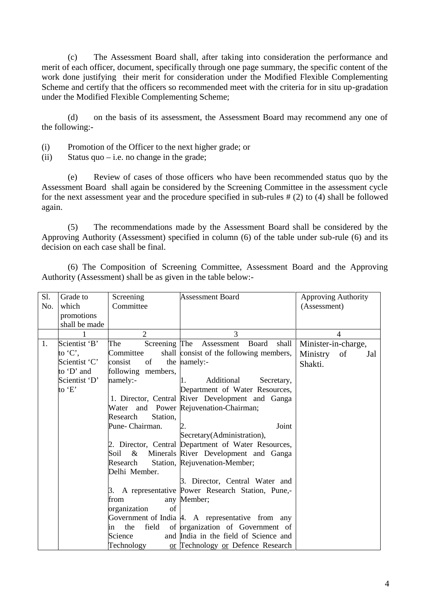(c) The Assessment Board shall, after taking into consideration the performance and merit of each officer, document, specifically through one page summary, the specific content of the work done justifying their merit for consideration under the Modified Flexible Complementing Scheme and certify that the officers so recommended meet with the criteria for in situ up-gradation under the Modified Flexible Complementing Scheme;

(d) on the basis of its assessment, the Assessment Board may recommend any one of the following:-

- (i) Promotion of the Officer to the next higher grade; or
- (ii) Status quo i.e. no change in the grade;

(e) Review of cases of those officers who have been recommended status quo by the Assessment Board shall again be considered by the Screening Committee in the assessment cycle for the next assessment year and the procedure specified in sub-rules # (2) to (4) shall be followed again.

(5) The recommendations made by the Assessment Board shall be considered by the Approving Authority (Assessment) specified in column (6) of the table under sub-rule (6) and its decision on each case shall be final.

(6) The Composition of Screening Committee, Assessment Board and the Approving Authority (Assessment) shall be as given in the table below:-

| S1. | Grade to      | Screening            | <b>Assessment Board</b>                              | <b>Approving Authority</b> |
|-----|---------------|----------------------|------------------------------------------------------|----------------------------|
| No. | which         | Committee            |                                                      | (Assessment)               |
|     | promotions    |                      |                                                      |                            |
|     | shall be made |                      |                                                      |                            |
|     |               | $\overline{2}$       | 3                                                    | 4                          |
| 1.  | Scientist 'B' | The                  | Screening The Assessment<br>shall<br>Board           | Minister-in-charge,        |
|     | to $C$ ,      | Committee            | shall consist of the following members,              | Ministry<br>of<br>Jal      |
|     | Scientist 'C' | of<br>consist        | the namely:-                                         | Shakti.                    |
|     | to 'D' and    | following members,   |                                                      |                            |
|     | Scientist 'D' | namely:-             | Additional<br>Secretary,                             |                            |
|     | to 'E'        |                      | Department of Water Resources,                       |                            |
|     |               |                      | 1. Director, Central River Development and Ganga     |                            |
|     |               |                      | Water and Power Rejuvenation-Chairman;               |                            |
|     |               | Research<br>Station, |                                                      |                            |
|     |               | Pune-Chairman.       | Joint                                                |                            |
|     |               |                      | Secretary(Administration),                           |                            |
|     |               |                      | 2. Director, Central Department of Water Resources,  |                            |
|     |               | Soil<br>&            | Minerals River Development and Ganga                 |                            |
|     |               | Research             | Station, Rejuvenation-Member;                        |                            |
|     |               | Delhi Member.        |                                                      |                            |
|     |               |                      | 3. Director, Central Water and                       |                            |
|     |               |                      | 3. A representative Power Research Station, Pune,-   |                            |
|     |               | from                 | any Member;                                          |                            |
|     |               | organization<br>of   |                                                      |                            |
|     |               |                      | Government of India $ 4$ . A representative from any |                            |
|     |               | field<br>the<br>ın   | of organization of Government of                     |                            |
|     |               | Science              | and India in the field of Science and                |                            |
|     |               | Technology           | or Technology or Defence Research                    |                            |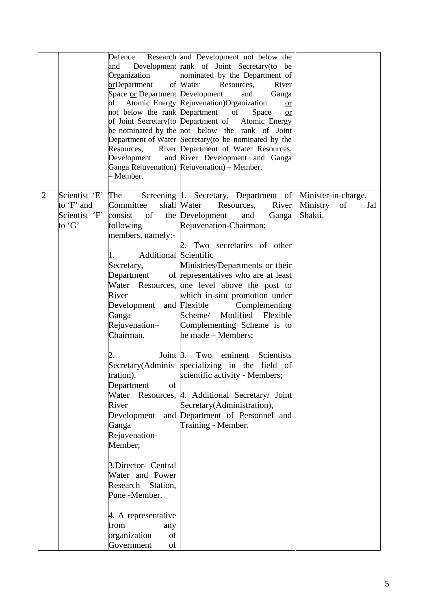|                |                                                        | Defence<br>and<br>Organization<br>orDepartment<br>Space or Department Development<br>of<br>not below the rank Department<br>of Joint Secretary (to Department of<br>Resources,<br>- Member.                                                                                                                                                                                                                                                                                                    | Research and Development not below the<br>Development rank of Joint Secretary (to be<br>nominated by the Department of<br>of Water<br>Resources,<br>River<br>and<br>Ganga<br>Atomic Energy Rejuvenation)Organization<br>or<br>of<br>Space<br><b>or</b><br>Atomic Energy<br>be nominated by the not below the rank of Joint<br>Department of Water Secretary (to be nominated by the<br>River Department of Water Resources,<br>Development and River Development and Ganga<br>Ganga Rejuvenation) Rejuvenation) – Member.                                                                                                                                                                            |                                                      |
|----------------|--------------------------------------------------------|------------------------------------------------------------------------------------------------------------------------------------------------------------------------------------------------------------------------------------------------------------------------------------------------------------------------------------------------------------------------------------------------------------------------------------------------------------------------------------------------|------------------------------------------------------------------------------------------------------------------------------------------------------------------------------------------------------------------------------------------------------------------------------------------------------------------------------------------------------------------------------------------------------------------------------------------------------------------------------------------------------------------------------------------------------------------------------------------------------------------------------------------------------------------------------------------------------|------------------------------------------------------|
| $\overline{2}$ | Scientist 'E'<br>to 'F' and<br>Scientist 'F'<br>to 'G' | The<br>Committee<br>consist<br>of<br>following<br>members, namely:-<br><b>Additional Scientific</b><br>1.<br>Secretary,<br>Department<br>River<br>Development and Flexible<br>Ganga<br>Rejuvenation-<br>Chairman.<br>Joint $\beta$ .<br>of<br>Department<br>Water<br>River<br>Development<br>Ganga<br>Rejuvenation-<br>Member;<br>3.Director- Central<br>Water and Power<br>Research Station,<br>Pune -Member.<br>4. A representative<br>from<br>any<br>organization<br>of<br>Government<br>of | Screening 1. Secretary, Department of<br>shall Water<br>Resources, River<br>the Development<br>and<br>Ganga<br>Rejuvenation-Chairman;<br>2. Two secretaries of other<br>Ministries/Departments or their<br>of representatives who are at least<br>Water Resources, one level above the post to<br>which in-situ promotion under<br>Complementing<br>Scheme/ Modified Flexible<br>Complementing Scheme is to<br>be made – Members;<br>Two<br>eminent<br>Scientists<br>Secretary (Adminis specializing in the field of<br>tration), scientific activity - Members;<br>Resources, 4. Additional Secretary/ Joint<br>Secretary(Administration),<br>and Department of Personnel and<br>Training - Member. | Minister-in-charge,<br>Ministry of<br>Jal<br>Shakti. |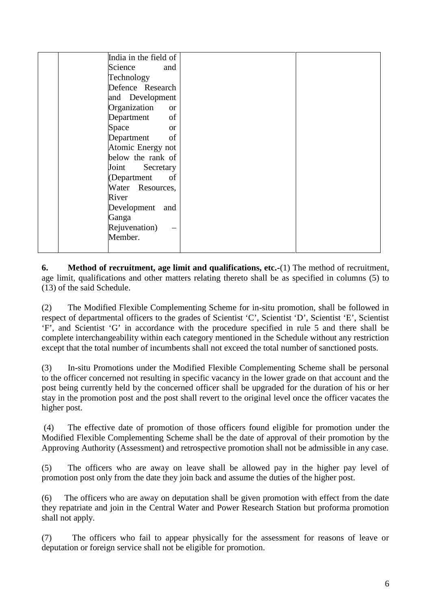| India in the field of         |  |
|-------------------------------|--|
| Science<br>and                |  |
| Technology                    |  |
| Defence Research              |  |
| and Development               |  |
| Organization<br><sub>or</sub> |  |
| of<br>Department              |  |
| Space<br><sub>or</sub>        |  |
| Department<br>of              |  |
| Atomic Energy not             |  |
| below the rank of             |  |
| Joint<br>Secretary            |  |
| of<br>(Department             |  |
| Water Resources,              |  |
| River                         |  |
| Development and               |  |
| Ganga                         |  |
| Rejuvenation)                 |  |
| Member.                       |  |
|                               |  |

**6. Method of recruitment, age limit and qualifications, etc.-**(1) The method of recruitment, age limit, qualifications and other matters relating thereto shall be as specified in columns (5) to (13) of the said Schedule.

(2) The Modified Flexible Complementing Scheme for in-situ promotion, shall be followed in respect of departmental officers to the grades of Scientist 'C', Scientist 'D', Scientist 'E', Scientist 'F', and Scientist 'G' in accordance with the procedure specified in rule 5 and there shall be complete interchangeability within each category mentioned in the Schedule without any restriction except that the total number of incumbents shall not exceed the total number of sanctioned posts.

(3) In-situ Promotions under the Modified Flexible Complementing Scheme shall be personal to the officer concerned not resulting in specific vacancy in the lower grade on that account and the post being currently held by the concerned officer shall be upgraded for the duration of his or her stay in the promotion post and the post shall revert to the original level once the officer vacates the higher post.

(4) The effective date of promotion of those officers found eligible for promotion under the Modified Flexible Complementing Scheme shall be the date of approval of their promotion by the Approving Authority (Assessment) and retrospective promotion shall not be admissible in any case.

(5) The officers who are away on leave shall be allowed pay in the higher pay level of promotion post only from the date they join back and assume the duties of the higher post.

(6) The officers who are away on deputation shall be given promotion with effect from the date they repatriate and join in the Central Water and Power Research Station but proforma promotion shall not apply.

(7) The officers who fail to appear physically for the assessment for reasons of leave or deputation or foreign service shall not be eligible for promotion.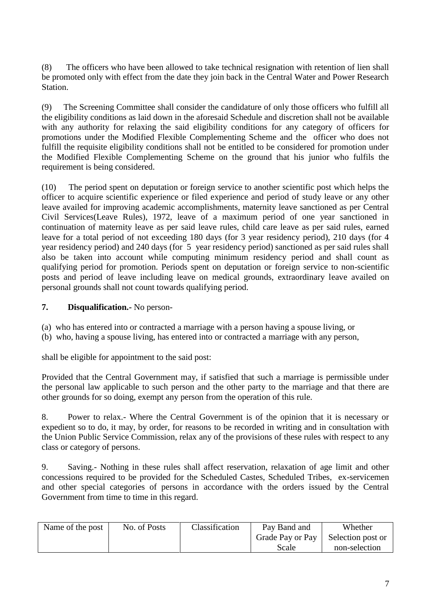(8) The officers who have been allowed to take technical resignation with retention of lien shall be promoted only with effect from the date they join back in the Central Water and Power Research Station.

(9) The Screening Committee shall consider the candidature of only those officers who fulfill all the eligibility conditions as laid down in the aforesaid Schedule and discretion shall not be available with any authority for relaxing the said eligibility conditions for any category of officers for promotions under the Modified Flexible Complementing Scheme and the officer who does not fulfill the requisite eligibility conditions shall not be entitled to be considered for promotion under the Modified Flexible Complementing Scheme on the ground that his junior who fulfils the requirement is being considered.

(10) The period spent on deputation or foreign service to another scientific post which helps the officer to acquire scientific experience or filed experience and period of study leave or any other leave availed for improving academic accomplishments, maternity leave sanctioned as per Central Civil Services(Leave Rules), 1972, leave of a maximum period of one year sanctioned in continuation of maternity leave as per said leave rules, child care leave as per said rules, earned leave for a total period of not exceeding 180 days (for 3 year residency period), 210 days (for 4 year residency period) and 240 days (for 5 year residency period) sanctioned as per said rules shall also be taken into account while computing minimum residency period and shall count as qualifying period for promotion. Periods spent on deputation or foreign service to non-scientific posts and period of leave including leave on medical grounds, extraordinary leave availed on personal grounds shall not count towards qualifying period.

## **7. Disqualification.-** No person-

- (a) who has entered into or contracted a marriage with a person having a spouse living, or
- (b) who, having a spouse living, has entered into or contracted a marriage with any person,

shall be eligible for appointment to the said post:

Provided that the Central Government may, if satisfied that such a marriage is permissible under the personal law applicable to such person and the other party to the marriage and that there are other grounds for so doing, exempt any person from the operation of this rule.

8. Power to relax.- Where the Central Government is of the opinion that it is necessary or expedient so to do, it may, by order, for reasons to be recorded in writing and in consultation with the Union Public Service Commission, relax any of the provisions of these rules with respect to any class or category of persons.

9. Saving.- Nothing in these rules shall affect reservation, relaxation of age limit and other concessions required to be provided for the Scheduled Castes, Scheduled Tribes, ex-servicemen and other special categories of persons in accordance with the orders issued by the Central Government from time to time in this regard.

| Name of the post | No. of Posts | Classification | Pay Band and     | Whether           |
|------------------|--------------|----------------|------------------|-------------------|
|                  |              |                | Grade Pay or Pay | Selection post or |
|                  |              |                | Scale            | non-selection     |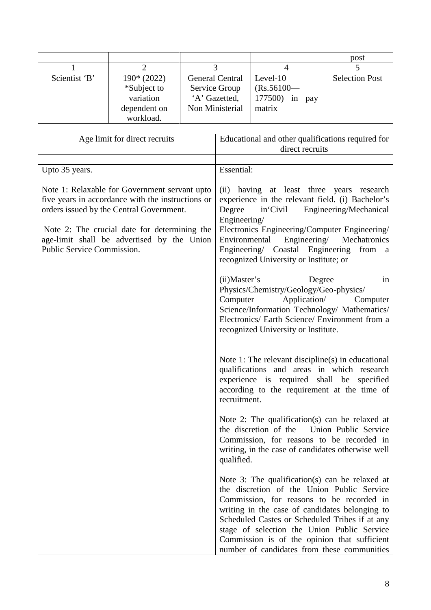|               |              |                        |                      | post                  |
|---------------|--------------|------------------------|----------------------|-----------------------|
|               |              |                        |                      |                       |
| Scientist 'B' | $190*(2022)$ | <b>General Central</b> | Level- $10$          | <b>Selection Post</b> |
|               | *Subject to  | Service Group          | $(Rs.56100 -$        |                       |
|               | variation    | 'A' Gazetted,          | 177500)<br>in<br>pay |                       |
|               | dependent on | Non Ministerial        | matrix               |                       |
|               | workload.    |                        |                      |                       |

| Age limit for direct recruits                                                                                                                                                                                                                                              | Educational and other qualifications required for                                                                                                                                                                                                                                                                                                                                           |
|----------------------------------------------------------------------------------------------------------------------------------------------------------------------------------------------------------------------------------------------------------------------------|---------------------------------------------------------------------------------------------------------------------------------------------------------------------------------------------------------------------------------------------------------------------------------------------------------------------------------------------------------------------------------------------|
|                                                                                                                                                                                                                                                                            | direct recruits                                                                                                                                                                                                                                                                                                                                                                             |
| Upto 35 years.                                                                                                                                                                                                                                                             | Essential:                                                                                                                                                                                                                                                                                                                                                                                  |
|                                                                                                                                                                                                                                                                            |                                                                                                                                                                                                                                                                                                                                                                                             |
| Note 1: Relaxable for Government servant upto<br>five years in accordance with the instructions or<br>orders issued by the Central Government.<br>Note 2: The crucial date for determining the<br>age-limit shall be advertised by the Union<br>Public Service Commission. | (ii) having at least three years research<br>experience in the relevant field. (i) Bachelor's<br>in Civil<br>Degree<br>Engineering/Mechanical<br>Engineering/<br>Electronics Engineering/Computer Engineering/<br>Environmental<br>Engineering/<br>Mechatronics<br>Engineering/ Coastal Engineering from a<br>recognized University or Institute; or                                        |
|                                                                                                                                                                                                                                                                            | (ii) Master's<br>Degree<br>in<br>Physics/Chemistry/Geology/Geo-physics/<br>Application/<br>Computer<br>Computer<br>Science/Information Technology/ Mathematics/<br>Electronics/ Earth Science/ Environment from a<br>recognized University or Institute.                                                                                                                                    |
|                                                                                                                                                                                                                                                                            | Note 1: The relevant discipline(s) in educational<br>qualifications and areas in which research<br>experience is required shall be specified<br>according to the requirement at the time of<br>recruitment.                                                                                                                                                                                 |
|                                                                                                                                                                                                                                                                            | Note 2: The qualification(s) can be relaxed at<br>Union Public Service<br>the discretion of the<br>Commission, for reasons to be recorded in<br>writing, in the case of candidates otherwise well<br>qualified.                                                                                                                                                                             |
|                                                                                                                                                                                                                                                                            | Note 3: The qualification(s) can be relaxed at<br>the discretion of the Union Public Service<br>Commission, for reasons to be recorded in<br>writing in the case of candidates belonging to<br>Scheduled Castes or Scheduled Tribes if at any<br>stage of selection the Union Public Service<br>Commission is of the opinion that sufficient<br>number of candidates from these communities |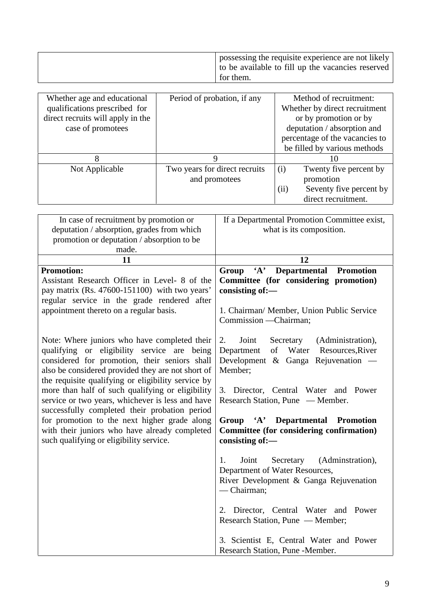| possessing the requisite experience are not likely<br>to be available to fill up the vacancies reserved |  |
|---------------------------------------------------------------------------------------------------------|--|
| for them.                                                                                               |  |

| Whether age and educational<br>qualifications prescribed for<br>direct recruits will apply in the<br>case of promotees | Period of probation, if any                    | Method of recruitment:<br>Whether by direct recruitment<br>or by promotion or by<br>deputation / absorption and<br>percentage of the vacancies to<br>be filled by various methods |
|------------------------------------------------------------------------------------------------------------------------|------------------------------------------------|-----------------------------------------------------------------------------------------------------------------------------------------------------------------------------------|
| 8                                                                                                                      | Q                                              | 10                                                                                                                                                                                |
| Not Applicable                                                                                                         | Two years for direct recruits<br>and promotees | (i)<br>Twenty five percent by<br>promotion<br>(ii)<br>Seventy five percent by<br>direct recruitment.                                                                              |

| In case of recruitment by promotion or             | If a Departmental Promotion Committee exist,                     |
|----------------------------------------------------|------------------------------------------------------------------|
| deputation / absorption, grades from which         | what is its composition.                                         |
| promotion or deputation / absorption to be         |                                                                  |
| made.                                              |                                                                  |
| 11                                                 | 12                                                               |
| <b>Promotion:</b>                                  | $\mathbf{A}$<br><b>Departmental</b><br><b>Promotion</b><br>Group |
| Assistant Research Officer in Level- 8 of the      | Committee (for considering promotion)                            |
| pay matrix (Rs. 47600-151100) with two years'      | consisting of:-                                                  |
| regular service in the grade rendered after        |                                                                  |
| appointment thereto on a regular basis.            | 1. Chairman/ Member, Union Public Service                        |
|                                                    | Commission - Chairman;                                           |
| Note: Where juniors who have completed their       | Joint<br>Secretary<br>(Administration),<br>2.                    |
| qualifying or eligibility service are being        | Water<br>of<br>Department<br>Resources, River                    |
| considered for promotion, their seniors shall      | Development & Ganga Rejuvenation $-$                             |
| also be considered provided they are not short of  | Member;                                                          |
| the requisite qualifying or eligibility service by |                                                                  |
| more than half of such qualifying or eligibility   | 3. Director, Central Water and Power                             |
| service or two years, whichever is less and have   | Research Station, Pune — Member.                                 |
| successfully completed their probation period      |                                                                  |
| for promotion to the next higher grade along       | Group 'A' Departmental<br><b>Promotion</b>                       |
| with their juniors who have already completed      | Committee (for considering confirmation)                         |
| such qualifying or eligibility service.            | consisting of:-                                                  |
|                                                    | Joint<br>(Adminstration),<br>Secretary<br>1.                     |
|                                                    | Department of Water Resources,                                   |
|                                                    | River Development & Ganga Rejuvenation                           |
|                                                    | -Chairman;                                                       |
|                                                    |                                                                  |
|                                                    | 2. Director, Central Water and Power                             |
|                                                    | Research Station, Pune — Member;                                 |
|                                                    | 3. Scientist E, Central Water and Power                          |
|                                                    | Research Station, Pune -Member.                                  |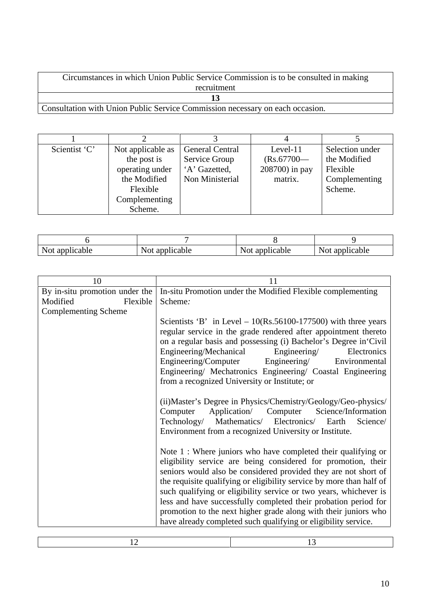Circumstances in which Union Public Service Commission is to be consulted in making recruitment **13**

Consultation with Union Public Service Commission necessary on each occasion.

| Scientist 'C' | Not applicable as | <b>General Central</b> | Level- $11$    | Selection under |
|---------------|-------------------|------------------------|----------------|-----------------|
|               | the post is       | Service Group          | $(Rs.67700 -$  | the Modified    |
|               | operating under   | 'A' Gazetted,          | 208700) in pay | Flexible        |
|               | the Modified      | Non Ministerial        | matrix.        | Complementing   |
|               | Flexible          |                        |                | Scheme.         |
|               | Complementing     |                        |                |                 |
|               | Scheme.           |                        |                |                 |

| licable<br><b>INOL</b><br>uv | licable<br><b>Not</b><br>-av | ann.<br>licable<br>$\overline{N}$ Ou | applicable<br>Nr.<br>१७८ |
|------------------------------|------------------------------|--------------------------------------|--------------------------|

| 10                             | 11                                                                                                                                                                                                                                                                                                                                                                                                                                                                                                                                                      |
|--------------------------------|---------------------------------------------------------------------------------------------------------------------------------------------------------------------------------------------------------------------------------------------------------------------------------------------------------------------------------------------------------------------------------------------------------------------------------------------------------------------------------------------------------------------------------------------------------|
| By in-situ promotion under the | In-situ Promotion under the Modified Flexible complementing                                                                                                                                                                                                                                                                                                                                                                                                                                                                                             |
| Modified<br>Flexible           | Scheme:                                                                                                                                                                                                                                                                                                                                                                                                                                                                                                                                                 |
| <b>Complementing Scheme</b>    |                                                                                                                                                                                                                                                                                                                                                                                                                                                                                                                                                         |
|                                | Scientists 'B' in Level $-10(Rs.56100-177500)$ with three years<br>regular service in the grade rendered after appointment thereto<br>on a regular basis and possessing (i) Bachelor's Degree in Civil<br>Engineering/Mechanical<br>Engineering/<br>Electronics<br>Engineering/Computer Engineering/<br>Environmental<br>Engineering/ Mechatronics Engineering/ Coastal Engineering<br>from a recognized University or Institute; or                                                                                                                    |
|                                | (ii) Master's Degree in Physics/Chemistry/Geology/Geo-physics/<br>Application/ Computer Science/Information<br>Computer<br>Technology/ Mathematics/ Electronics/ Earth<br>Science/<br>Environment from a recognized University or Institute.                                                                                                                                                                                                                                                                                                            |
|                                | Note $1:$ Where juniors who have completed their qualifying or<br>eligibility service are being considered for promotion, their<br>seniors would also be considered provided they are not short of<br>the requisite qualifying or eligibility service by more than half of<br>such qualifying or eligibility service or two years, whichever is<br>less and have successfully completed their probation period for<br>promotion to the next higher grade along with their juniors who<br>have already completed such qualifying or eligibility service. |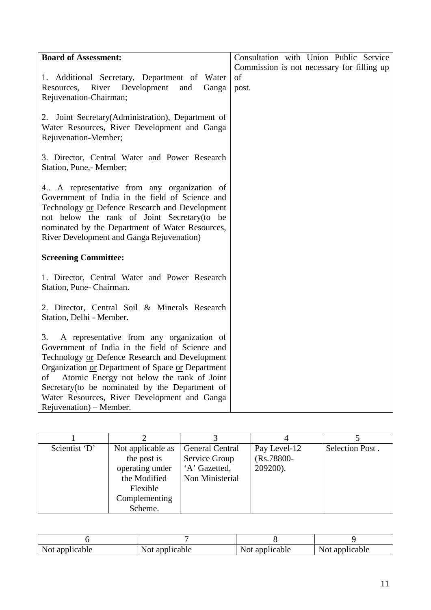| <b>Board of Assessment:</b>                                                                                                                                                                                                                                                                                                                                                                | Consultation with Union Public Service                    |
|--------------------------------------------------------------------------------------------------------------------------------------------------------------------------------------------------------------------------------------------------------------------------------------------------------------------------------------------------------------------------------------------|-----------------------------------------------------------|
| 1. Additional Secretary, Department of Water<br>River Development<br>Resources,<br>and<br>Ganga<br>Rejuvenation-Chairman;                                                                                                                                                                                                                                                                  | Commission is not necessary for filling up<br>of<br>post. |
| 2. Joint Secretary (Administration), Department of<br>Water Resources, River Development and Ganga<br>Rejuvenation-Member;                                                                                                                                                                                                                                                                 |                                                           |
| 3. Director, Central Water and Power Research<br>Station, Pune, Member;                                                                                                                                                                                                                                                                                                                    |                                                           |
| 4 A representative from any organization of<br>Government of India in the field of Science and<br>Technology or Defence Research and Development<br>not below the rank of Joint Secretary (to be<br>nominated by the Department of Water Resources,<br>River Development and Ganga Rejuvenation)                                                                                           |                                                           |
| <b>Screening Committee:</b>                                                                                                                                                                                                                                                                                                                                                                |                                                           |
| 1. Director, Central Water and Power Research<br>Station, Pune- Chairman.                                                                                                                                                                                                                                                                                                                  |                                                           |
| 2. Director, Central Soil & Minerals Research<br>Station, Delhi - Member.                                                                                                                                                                                                                                                                                                                  |                                                           |
| 3.<br>A representative from any organization of<br>Government of India in the field of Science and<br>Technology or Defence Research and Development<br>Organization or Department of Space or Department<br>Atomic Energy not below the rank of Joint<br>of<br>Secretary (to be nominated by the Department of<br>Water Resources, River Development and Ganga<br>Rejuvenation) – Member. |                                                           |

| Scientist 'D' | Not applicable as<br>the post is<br>operating under<br>the Modified<br>Flexible<br>Complementing<br>Scheme. | <b>General Central</b><br>Service Group<br>'A' Gazetted,<br>Non Ministerial | Pay Level-12<br>$(Rs.78800 -$<br>209200). | Selection Post. |
|---------------|-------------------------------------------------------------------------------------------------------------|-----------------------------------------------------------------------------|-------------------------------------------|-----------------|

| N<br>cable:<br>$\overline{N}$ Ol ap | NOU<br>u | N<br>cable:<br>1 V V L | N.<br>1cable<br>1 U L |
|-------------------------------------|----------|------------------------|-----------------------|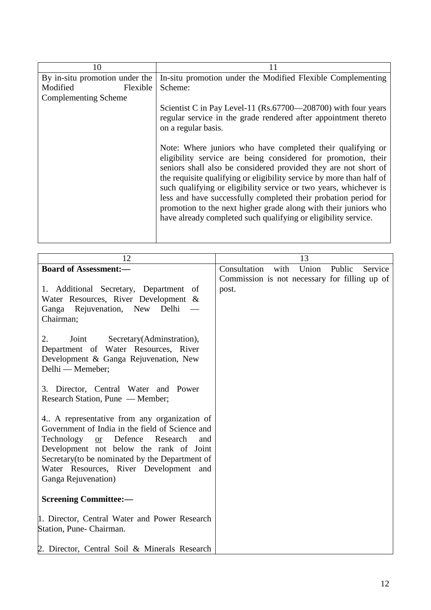| 10                             | 11                                                                                                                                                                                                                                                                                                                                                                                                                                                                                                                                                  |
|--------------------------------|-----------------------------------------------------------------------------------------------------------------------------------------------------------------------------------------------------------------------------------------------------------------------------------------------------------------------------------------------------------------------------------------------------------------------------------------------------------------------------------------------------------------------------------------------------|
| By in-situ promotion under the | In-situ promotion under the Modified Flexible Complementing                                                                                                                                                                                                                                                                                                                                                                                                                                                                                         |
| Modified<br>Flexible           | Scheme:                                                                                                                                                                                                                                                                                                                                                                                                                                                                                                                                             |
| <b>Complementing Scheme</b>    |                                                                                                                                                                                                                                                                                                                                                                                                                                                                                                                                                     |
|                                | Scientist C in Pay Level-11 (Rs.67700—208700) with four years<br>regular service in the grade rendered after appointment thereto<br>on a regular basis.                                                                                                                                                                                                                                                                                                                                                                                             |
|                                | Note: Where juniors who have completed their qualifying or<br>eligibility service are being considered for promotion, their<br>seniors shall also be considered provided they are not short of<br>the requisite qualifying or eligibility service by more than half of<br>such qualifying or eligibility service or two years, whichever is<br>less and have successfully completed their probation period for<br>promotion to the next higher grade along with their juniors who<br>have already completed such qualifying or eligibility service. |

| 12                                                                                                                                                                                                                                                                                                                      | 13                                                                                                  |
|-------------------------------------------------------------------------------------------------------------------------------------------------------------------------------------------------------------------------------------------------------------------------------------------------------------------------|-----------------------------------------------------------------------------------------------------|
| <b>Board of Assessment:-</b>                                                                                                                                                                                                                                                                                            | Consultation<br>with<br>Union<br>Public<br>Service<br>Commission is not necessary for filling up of |
| 1. Additional Secretary, Department of<br>Water Resources, River Development &<br>Ganga Rejuvenation, New Delhi<br>Chairman;                                                                                                                                                                                            | post.                                                                                               |
| 2.<br>Secretary(Adminstration),<br>Joint<br>Department of Water Resources, River<br>Development & Ganga Rejuvenation, New<br>Delhi - Memeber;                                                                                                                                                                           |                                                                                                     |
| 3. Director, Central Water and Power<br>Research Station, Pune — Member;                                                                                                                                                                                                                                                |                                                                                                     |
| 4. A representative from any organization of<br>Government of India in the field of Science and<br>Defence<br>Technology<br>Research<br><b>or</b><br>and<br>Development not below the rank of Joint<br>Secretary (to be nominated by the Department of<br>Water Resources, River Development and<br>Ganga Rejuvenation) |                                                                                                     |
| <b>Screening Committee:-</b>                                                                                                                                                                                                                                                                                            |                                                                                                     |
| 1. Director, Central Water and Power Research<br>Station, Pune- Chairman.                                                                                                                                                                                                                                               |                                                                                                     |
| 2. Director, Central Soil & Minerals Research                                                                                                                                                                                                                                                                           |                                                                                                     |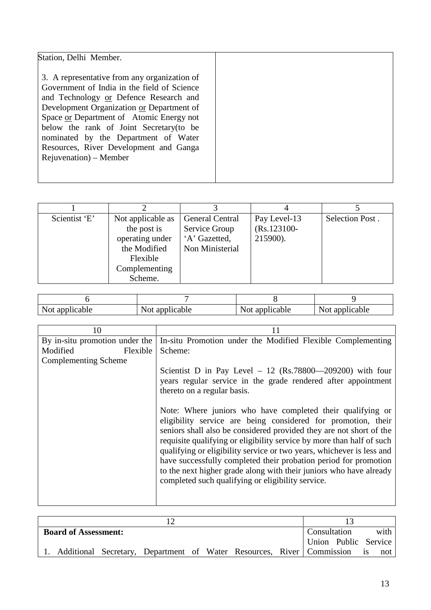| Scientist 'E'<br>Not applicable as<br><b>General Central</b><br>Selection Post.<br>Pay Level-13<br>$(Rs.123100 -$<br>Service Group<br>the post is<br>'A' Gazetted,<br>operating under<br>215900).<br>Non Ministerial<br>the Modified<br>Flexible<br>Complementing |         |  |  |
|-------------------------------------------------------------------------------------------------------------------------------------------------------------------------------------------------------------------------------------------------------------------|---------|--|--|
|                                                                                                                                                                                                                                                                   | Scheme. |  |  |

| 110U<br>u | $\mathbf{v}$<br>ш. | 1 V L | cable<br>ື<br>1 V L<br><b>.</b> |
|-----------|--------------------|-------|---------------------------------|

| In-situ Promotion under the Modified Flexible Complementing                                                                                                                                                                                                                                                                                                                                                                                                                                                                                         |
|-----------------------------------------------------------------------------------------------------------------------------------------------------------------------------------------------------------------------------------------------------------------------------------------------------------------------------------------------------------------------------------------------------------------------------------------------------------------------------------------------------------------------------------------------------|
|                                                                                                                                                                                                                                                                                                                                                                                                                                                                                                                                                     |
| Scheme:                                                                                                                                                                                                                                                                                                                                                                                                                                                                                                                                             |
|                                                                                                                                                                                                                                                                                                                                                                                                                                                                                                                                                     |
| Scientist D in Pay Level $-12$ (Rs.78800—209200) with four<br>years regular service in the grade rendered after appointment<br>thereto on a regular basis.                                                                                                                                                                                                                                                                                                                                                                                          |
| Note: Where juniors who have completed their qualifying or<br>eligibility service are being considered for promotion, their<br>seniors shall also be considered provided they are not short of the<br>requisite qualifying or eligibility service by more than half of such<br>qualifying or eligibility service or two years, whichever is less and<br>have successfully completed their probation period for promotion<br>to the next higher grade along with their juniors who have already<br>completed such qualifying or eligibility service. |
| Flexible                                                                                                                                                                                                                                                                                                                                                                                                                                                                                                                                            |

| <b>Board of Assessment:</b> |  |  |  | Consultation<br>Union Public Service                                     | with                  |
|-----------------------------|--|--|--|--------------------------------------------------------------------------|-----------------------|
|                             |  |  |  | 1. Additional Secretary, Department of Water Resources, River Commission | not<br>$\overline{1}$ |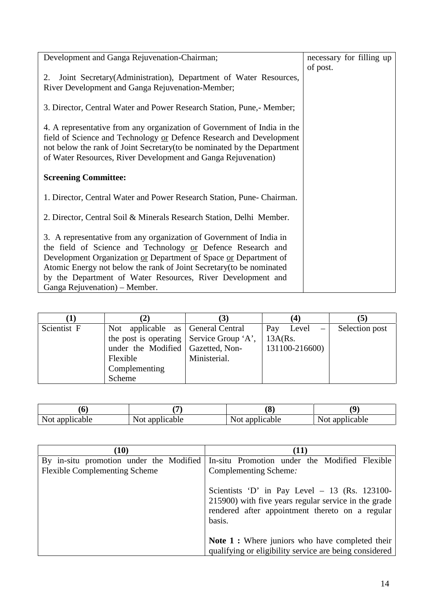| Development and Ganga Rejuvenation-Chairman;                             | necessary for filling up |  |
|--------------------------------------------------------------------------|--------------------------|--|
|                                                                          | of post.                 |  |
| Joint Secretary (Administration), Department of Water Resources,<br>2.   |                          |  |
| River Development and Ganga Rejuvenation-Member;                         |                          |  |
| 3. Director, Central Water and Power Research Station, Pune,- Member;    |                          |  |
| 4. A representative from any organization of Government of India in the  |                          |  |
| field of Science and Technology or Defence Research and Development      |                          |  |
| not below the rank of Joint Secretary (to be nominated by the Department |                          |  |
| of Water Resources, River Development and Ganga Rejuvenation)            |                          |  |
| <b>Screening Committee:</b>                                              |                          |  |
| 1. Director, Central Water and Power Research Station, Pune- Chairman.   |                          |  |
| 2. Director, Central Soil & Minerals Research Station, Delhi Member.     |                          |  |
| 3. A representative from any organization of Government of India in      |                          |  |
| the field of Science and Technology or Defence Research and              |                          |  |
| Development Organization or Department of Space or Department of         |                          |  |
| Atomic Energy not below the rank of Joint Secretary (to be nominated     |                          |  |
| by the Department of Water Resources, River Development and              |                          |  |
| Ganga Rejuvenation) – Member.                                            |                          |  |

|             | 2)                                       |              | (4                             | (5)            |
|-------------|------------------------------------------|--------------|--------------------------------|----------------|
| Scientist F | Not applicable as General Central        |              | Level<br>Pay<br>$\overline{a}$ | Selection post |
|             | the post is operating Service Group 'A', |              | $13A(Rs)$ .                    |                |
|             | under the Modified Gazetted, Non-        |              | 131100-216600)                 |                |
|             | Flexible                                 | Ministerial. |                                |                |
|             | Complementing                            |              |                                |                |
|             | Scheme                                   |              |                                |                |

|                                     |                                            | ′∩<br>Ō            | ^O                                    |
|-------------------------------------|--------------------------------------------|--------------------|---------------------------------------|
| licable<br>N <sub>O</sub> t<br>adul | 2nn<br>licable<br>avvi<br>$1$ YUL $\gamma$ | Not.<br>applicable | licable<br>apr<br>$. \cap$ +<br>1 U L |

| (10)                                                                            | (11)                                                                                                                                                                |
|---------------------------------------------------------------------------------|---------------------------------------------------------------------------------------------------------------------------------------------------------------------|
| By in-situ promotion under the Modified<br><b>Flexible Complementing Scheme</b> | In-situ Promotion under the Modified Flexible<br>Complementing Scheme:                                                                                              |
|                                                                                 | Scientists 'D' in Pay Level $-13$ (Rs. 123100-<br>215900) with five years regular service in the grade<br>rendered after appointment thereto on a regular<br>basis. |
|                                                                                 | <b>Note 1 :</b> Where juniors who have completed their<br>qualifying or eligibility service are being considered                                                    |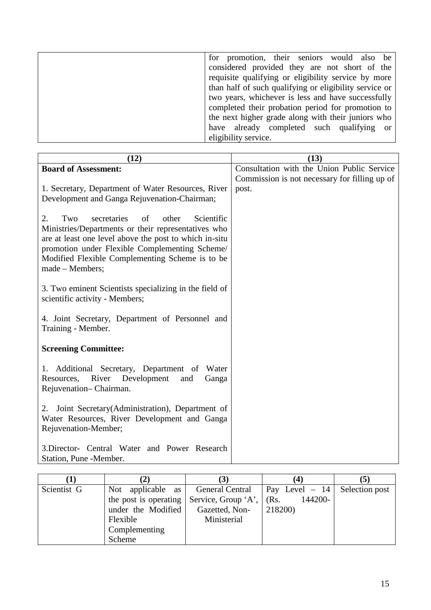| for promotion, their seniors would also be              |
|---------------------------------------------------------|
| considered provided they are not short of the           |
| requisite qualifying or eligibility service by more     |
| than half of such qualifying or eligibility service or  |
| two years, whichever is less and have successfully      |
| completed their probation period for promotion to       |
| the next higher grade along with their juniors who      |
| have already completed such qualifying<br><sub>or</sub> |
| eligibility service.                                    |

| (12)                                                                                                                                                                                                                                                                                           | (13)                                                   |
|------------------------------------------------------------------------------------------------------------------------------------------------------------------------------------------------------------------------------------------------------------------------------------------------|--------------------------------------------------------|
| <b>Board of Assessment:</b>                                                                                                                                                                                                                                                                    | Consultation with the Union Public Service             |
| 1. Secretary, Department of Water Resources, River<br>Development and Ganga Rejuvenation-Chairman;                                                                                                                                                                                             | Commission is not necessary for filling up of<br>post. |
| Two<br>secretaries<br>of<br>other<br>Scientific<br>2.<br>Ministries/Departments or their representatives who<br>are at least one level above the post to which in-situ<br>promotion under Flexible Complementing Scheme/<br>Modified Flexible Complementing Scheme is to be<br>made - Members; |                                                        |
| 3. Two eminent Scientists specializing in the field of<br>scientific activity - Members;                                                                                                                                                                                                       |                                                        |
| 4. Joint Secretary, Department of Personnel and<br>Training - Member.                                                                                                                                                                                                                          |                                                        |
| <b>Screening Committee:</b>                                                                                                                                                                                                                                                                    |                                                        |
| 1. Additional Secretary, Department of Water<br>River Development<br>Resources,<br>and<br>Ganga<br>Rejuvenation-Chairman.                                                                                                                                                                      |                                                        |
| Joint Secretary (Administration), Department of<br>2.<br>Water Resources, River Development and Ganga<br>Rejuvenation-Member;                                                                                                                                                                  |                                                        |
| 3. Director- Central Water and Power Research<br>Station, Pune -Member.                                                                                                                                                                                                                        |                                                        |

|             | $\mathbf{2}$                                       | (3)            | (4)                     | [5]            |
|-------------|----------------------------------------------------|----------------|-------------------------|----------------|
| Scientist G | Not applicable as General Central                  |                | $\lvert$ Pay Level – 14 | Selection post |
|             | the post is operating Service, Group 'A', $(Rs)$ . |                | 144200-                 |                |
|             | under the Modified                                 | Gazetted, Non- | 218200)                 |                |
|             | Flexible                                           | Ministerial    |                         |                |
|             | Complementing                                      |                |                         |                |
|             | Scheme                                             |                |                         |                |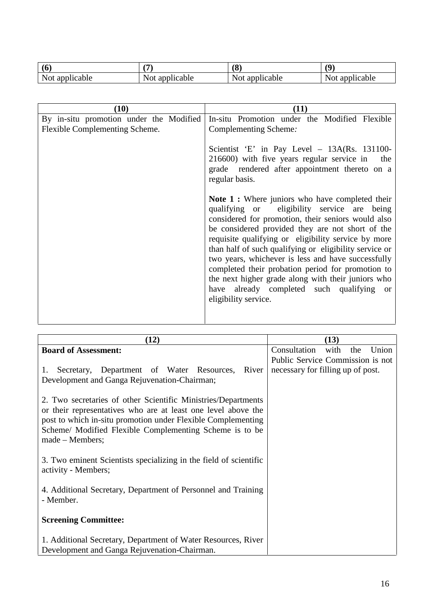|                   | $\sqrt{2}$                | (8              | 70                 |
|-------------------|---------------------------|-----------------|--------------------|
| ucable<br>Not apr | <b>Not</b><br>ncable<br>u | Not.<br>licable | Not<br>cable<br>äD |

| (10)                                                                      | (11)                                                                                                                                                                                                                                                                                                                                                                                                                                                                                                                                                                                 |
|---------------------------------------------------------------------------|--------------------------------------------------------------------------------------------------------------------------------------------------------------------------------------------------------------------------------------------------------------------------------------------------------------------------------------------------------------------------------------------------------------------------------------------------------------------------------------------------------------------------------------------------------------------------------------|
| By in-situ promotion under the Modified<br>Flexible Complementing Scheme. | In-situ Promotion under the Modified Flexible<br>Complementing Scheme:                                                                                                                                                                                                                                                                                                                                                                                                                                                                                                               |
|                                                                           | Scientist 'E' in Pay Level $-$ 13A(Rs. 131100-<br>216600) with five years regular service in<br>the<br>grade rendered after appointment thereto on a<br>regular basis.                                                                                                                                                                                                                                                                                                                                                                                                               |
|                                                                           | <b>Note 1 :</b> Where juniors who have completed their<br>qualifying or eligibility service are being<br>considered for promotion, their seniors would also<br>be considered provided they are not short of the<br>requisite qualifying or eligibility service by more<br>than half of such qualifying or eligibility service or<br>two years, whichever is less and have successfully<br>completed their probation period for promotion to<br>the next higher grade along with their juniors who<br>have already completed such qualifying<br><sub>or</sub><br>eligibility service. |

| (12)                                                                                                                                                                                                                                                                           | (13)                                 |
|--------------------------------------------------------------------------------------------------------------------------------------------------------------------------------------------------------------------------------------------------------------------------------|--------------------------------------|
| <b>Board of Assessment:</b>                                                                                                                                                                                                                                                    | Consultation<br>with<br>Union<br>the |
|                                                                                                                                                                                                                                                                                | Public Service Commission is not     |
| Secretary, Department of Water Resources, River<br>1.<br>Development and Ganga Rejuvenation-Chairman;                                                                                                                                                                          | necessary for filling up of post.    |
| 2. Two secretaries of other Scientific Ministries/Departments<br>or their representatives who are at least one level above the<br>post to which in-situ promotion under Flexible Complementing<br>Scheme/ Modified Flexible Complementing Scheme is to be<br>$made - Members;$ |                                      |
| 3. Two eminent Scientists specializing in the field of scientific<br>activity - Members;                                                                                                                                                                                       |                                      |
| 4. Additional Secretary, Department of Personnel and Training<br>- Member.                                                                                                                                                                                                     |                                      |
| <b>Screening Committee:</b>                                                                                                                                                                                                                                                    |                                      |
| 1. Additional Secretary, Department of Water Resources, River<br>Development and Ganga Rejuvenation-Chairman.                                                                                                                                                                  |                                      |